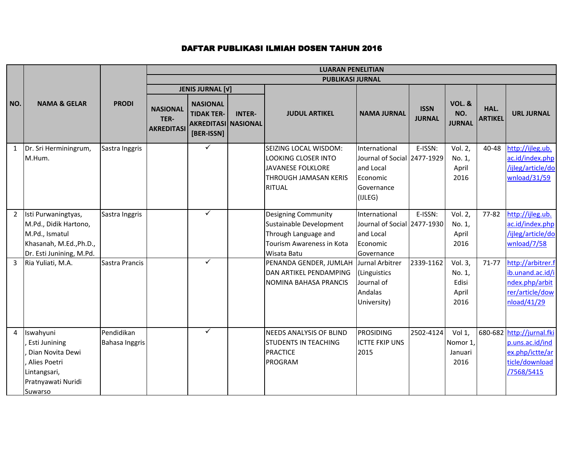|                             |                                                                                                                                            |                                     |                                              | <b>LUARAN PENELITIAN</b>                                                         |               |                                                                                                                                                                                                               |                                                                                                                                                                |                              |                                                                                   |                        |                                                                                                                                                                      |  |  |
|-----------------------------|--------------------------------------------------------------------------------------------------------------------------------------------|-------------------------------------|----------------------------------------------|----------------------------------------------------------------------------------|---------------|---------------------------------------------------------------------------------------------------------------------------------------------------------------------------------------------------------------|----------------------------------------------------------------------------------------------------------------------------------------------------------------|------------------------------|-----------------------------------------------------------------------------------|------------------------|----------------------------------------------------------------------------------------------------------------------------------------------------------------------|--|--|
|                             |                                                                                                                                            |                                     |                                              |                                                                                  |               | <b>PUBLIKASI JURNAL</b>                                                                                                                                                                                       |                                                                                                                                                                |                              |                                                                                   |                        |                                                                                                                                                                      |  |  |
|                             |                                                                                                                                            |                                     |                                              | <b>JENIS JURNAL [V]</b>                                                          |               |                                                                                                                                                                                                               |                                                                                                                                                                |                              |                                                                                   |                        |                                                                                                                                                                      |  |  |
| NO.                         | <b>NAMA &amp; GELAR</b>                                                                                                                    | <b>PRODI</b>                        | <b>NASIONAL</b><br>TER-<br><b>AKREDITASI</b> | <b>NASIONAL</b><br><b>TIDAK TER-</b><br><b>AKREDITASI NASIONAL</b><br>[BER-ISSN] | <b>INTER-</b> | <b>JUDUL ARTIKEL</b>                                                                                                                                                                                          | <b>NAMA JURNAL</b>                                                                                                                                             | <b>ISSN</b><br><b>JURNAL</b> | <b>VOL. &amp;</b><br>NO.<br><b>JURNAL</b>                                         | HAL.<br><b>ARTIKEL</b> | <b>URL JURNAL</b>                                                                                                                                                    |  |  |
| $\mathbf{1}$                | Dr. Sri Herminingrum,<br>M.Hum.                                                                                                            | Sastra Inggris                      |                                              | ✓                                                                                |               | SEIZING LOCAL WISDOM:<br><b>LOOKING CLOSER INTO</b><br>JAVANESE FOLKLORE<br><b>THROUGH JAMASAN KERIS</b><br><b>RITUAL</b>                                                                                     | International<br>Journal of Social 2477-1929<br>and Local<br>Economic<br>Governance<br>(IJLEG)                                                                 | E-ISSN:                      | Vol. 2,<br>No. 1,<br>April<br>2016                                                | 40-48                  | http://ijleg.ub.<br>ac.id/index.php<br>/ijleg/article/do<br>wnload/31/59                                                                                             |  |  |
| $2^{\circ}$<br>$\mathbf{3}$ | Isti Purwaningtyas,<br>M.Pd., Didik Hartono,<br>M.Pd., Ismatul<br>Khasanah, M.Ed., Ph.D.,<br>Dr. Esti Junining, M.Pd.<br>Ria Yuliati, M.A. | Sastra Inggris<br>Sastra Prancis    |                                              | $\checkmark$<br>$\checkmark$                                                     |               | <b>Designing Community</b><br>Sustainable Development<br>Through Language and<br>Tourism Awareness in Kota<br>Wisata Batu<br>PENANDA GENDER, JUMLAH<br>DAN ARTIKEL PENDAMPING<br><b>NOMINA BAHASA PRANCIS</b> | International<br>Journal of Social 2477-1930<br>and Local<br>Economic<br>Governance<br>Jurnal Arbitrer<br>(Linguistics<br>Journal of<br>Andalas<br>University) | E-ISSN:<br>2339-1162         | Vol. 2,<br>No. 1,<br>April<br>2016<br>Vol. 3,<br>No. 1,<br>Edisi<br>April<br>2016 | 77-82<br>71-77         | http://ijleg.ub.<br>ac.id/index.php<br>/ijleg/article/do<br>wnload/7/58<br>http://arbitrer.f<br>ib.unand.ac.id/i<br>ndex.php/arbit<br>rer/article/dow<br>nload/41/29 |  |  |
| 4                           | Iswahyuni<br>Esti Junining<br>Dian Novita Dewi<br>Alies Poetri<br>Lintangsari,<br>Pratnyawati Nuridi<br>Suwarso                            | Pendidikan<br><b>Bahasa Inggris</b> |                                              | $\checkmark$                                                                     |               | <b>NEEDS ANALYSIS OF BLIND</b><br><b>STUDENTS IN TEACHING</b><br><b>PRACTICE</b><br><b>PROGRAM</b>                                                                                                            | <b>PROSIDING</b><br><b>ICTTE FKIP UNS</b><br>2015                                                                                                              | 2502-4124                    | Vol 1,<br>Nomor 1,<br>Januari<br>2016                                             |                        | 680-682 http://jurnal.fki<br>p.uns.ac.id/ind<br>ex.php/ictte/ar<br>ticle/download<br>/7568/5415                                                                      |  |  |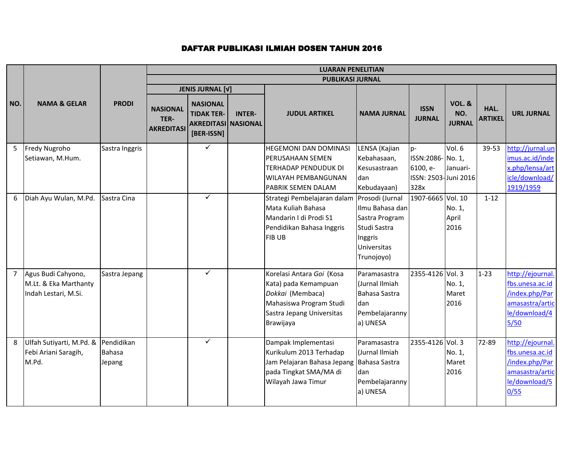|                     |                                                                      |                                       | <b>LUARAN PENELITIAN</b>                     |                                                                                  |               |                                                                                                                                                                               |                                                                                                                                                |                                       |                                           |                        |                                                                                                   |  |
|---------------------|----------------------------------------------------------------------|---------------------------------------|----------------------------------------------|----------------------------------------------------------------------------------|---------------|-------------------------------------------------------------------------------------------------------------------------------------------------------------------------------|------------------------------------------------------------------------------------------------------------------------------------------------|---------------------------------------|-------------------------------------------|------------------------|---------------------------------------------------------------------------------------------------|--|
|                     |                                                                      |                                       |                                              |                                                                                  |               | <b>PUBLIKASI JURNAL</b>                                                                                                                                                       |                                                                                                                                                |                                       |                                           |                        |                                                                                                   |  |
|                     |                                                                      |                                       |                                              | <b>JENIS JURNAL [V]</b>                                                          |               |                                                                                                                                                                               |                                                                                                                                                |                                       |                                           |                        |                                                                                                   |  |
| NO.                 | <b>NAMA &amp; GELAR</b>                                              | <b>PRODI</b>                          | <b>NASIONAL</b><br>TER-<br><b>AKREDITASI</b> | <b>NASIONAL</b><br><b>TIDAK TER-</b><br><b>AKREDITASI NASIONAL</b><br>[BER-ISSN] | <b>INTER-</b> | <b>JUDUL ARTIKEL</b>                                                                                                                                                          | <b>NAMA JURNAL</b>                                                                                                                             | <b>ISSN</b><br><b>JURNAL</b>          | <b>VOL. &amp;</b><br>NO.<br><b>JURNAL</b> | HAL.<br><b>ARTIKEL</b> | <b>URL JURNAL</b>                                                                                 |  |
| 5                   | Fredy Nugroho                                                        | Sastra Inggris                        |                                              | $\checkmark$                                                                     |               | <b>HEGEMONI DAN DOMINASI</b>                                                                                                                                                  | LENSA (Kajian                                                                                                                                  | lp-                                   | Vol. 6                                    | 39-53                  | http://jurnal.un                                                                                  |  |
|                     | Setiawan, M.Hum.                                                     |                                       |                                              |                                                                                  |               | <b>PERUSAHAAN SEMEN</b>                                                                                                                                                       | Kebahasaan,                                                                                                                                    | ISSN:2086-No. 1,                      |                                           |                        | imus.ac.id/inde                                                                                   |  |
|                     |                                                                      |                                       |                                              |                                                                                  |               | <b>TERHADAP PENDUDUK DI</b>                                                                                                                                                   | Kesusastraan                                                                                                                                   | 6100, e-                              | Januari-                                  |                        | x.php/lensa/art                                                                                   |  |
|                     |                                                                      |                                       |                                              |                                                                                  |               | <b>WILAYAH PEMBANGUNAN</b>                                                                                                                                                    | dan                                                                                                                                            | ISSN: 2503-Juni 2016                  |                                           |                        | icle/download/                                                                                    |  |
|                     |                                                                      |                                       |                                              |                                                                                  |               | PABRIK SEMEN DALAM                                                                                                                                                            | Kebudayaan)                                                                                                                                    | 328x                                  |                                           |                        | 1919/1959                                                                                         |  |
| 6<br>$\overline{7}$ | Diah Ayu Wulan, M.Pd.<br>Agus Budi Cahyono,<br>M.Lt. & Eka Marthanty | Sastra Cina<br>Sastra Jepang          |                                              | $\checkmark$<br>$\checkmark$                                                     |               | Strategi Pembelajaran dalam<br>Mata Kuliah Bahasa<br>Mandarin I di Prodi S1<br>Pendidikan Bahasa Inggris<br><b>FIBUB</b><br>Korelasi Antara Goi (Kosa<br>Kata) pada Kemampuan | Prosodi (Jurnal<br>Ilmu Bahasa dan<br>Sastra Program<br>Studi Sastra<br>Inggris<br>Universitas<br>Trunojoyo)<br>Paramasastra<br>(Jurnal Ilmiah | 1907-6665 Vol. 10<br>2355-4126 Vol. 3 | No. 1,<br>April<br>2016<br>No. 1,         | $1 - 12$<br>$1 - 23$   | http://ejournal.<br>fbs.unesa.ac.id                                                               |  |
|                     | Indah Lestari, M.Si.                                                 |                                       |                                              |                                                                                  |               | Dokkai (Membaca)<br>Mahasiswa Program Studi<br>Sastra Jepang Universitas<br>Brawijaya                                                                                         | Bahasa Sastra<br>dan<br>Pembelajaranny<br>a) UNESA                                                                                             |                                       | Maret<br>2016                             |                        | /index.php/Par<br>amasastra/artic<br>le/download/4<br>$5/50$                                      |  |
| 8                   | Ulfah Sutiyarti, M.Pd. &<br>Febi Ariani Saragih,<br>M.Pd.            | Pendidikan<br><b>Bahasa</b><br>Jepang |                                              | $\checkmark$                                                                     |               | Dampak Implementasi<br>Kurikulum 2013 Terhadap<br>Jam Pelajaran Bahasa Jepang<br>pada Tingkat SMA/MA di<br>Wilayah Jawa Timur                                                 | Paramasastra<br>(Jurnal Ilmiah<br>Bahasa Sastra<br>dan<br>Pembelajaranny<br>a) UNESA                                                           | 2355-4126 Vol. 3                      | No. 1,<br>Maret<br>2016                   | 72-89                  | http://ejournal.<br>fbs.unesa.ac.id<br>/index.php/Par<br>amasastra/artic<br>le/download/5<br>0/55 |  |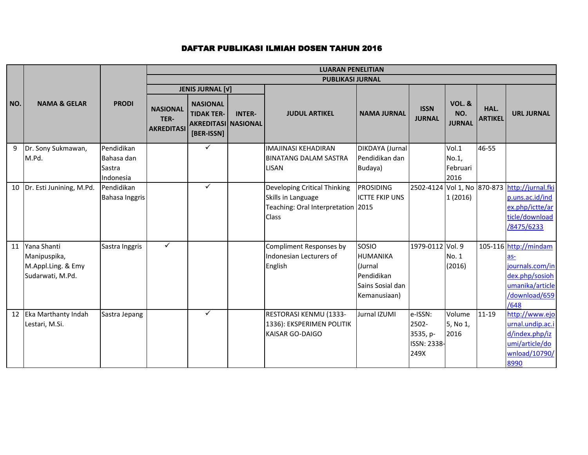|     |                          |                     |                                              | <b>LUARAN PENELITIAN</b>                                                         |               |                                                     |                       |                              |                                           |                        |                                               |  |  |
|-----|--------------------------|---------------------|----------------------------------------------|----------------------------------------------------------------------------------|---------------|-----------------------------------------------------|-----------------------|------------------------------|-------------------------------------------|------------------------|-----------------------------------------------|--|--|
|     |                          |                     |                                              |                                                                                  |               | <b>PUBLIKASI JURNAL</b>                             |                       |                              |                                           |                        |                                               |  |  |
|     |                          |                     |                                              | <b>JENIS JURNAL [V]</b>                                                          |               |                                                     |                       |                              |                                           |                        |                                               |  |  |
| NO. | <b>NAMA &amp; GELAR</b>  | <b>PRODI</b>        | <b>NASIONAL</b><br>TER-<br><b>AKREDITASI</b> | <b>NASIONAL</b><br><b>TIDAK TER-</b><br><b>AKREDITASI NASIONAL</b><br>[BER-ISSN] | <b>INTER-</b> | <b>JUDUL ARTIKEL</b>                                | <b>NAMA JURNAL</b>    | <b>ISSN</b><br><b>JURNAL</b> | <b>VOL. &amp;</b><br>NO.<br><b>JURNAL</b> | HAL.<br><b>ARTIKEL</b> | <b>URL JURNAL</b>                             |  |  |
| 9   | Dr. Sony Sukmawan,       | Pendidikan          |                                              | $\checkmark$                                                                     |               | <b>IMAJINASI KEHADIRAN</b>                          | DIKDAYA (Jurnal       |                              | Vol.1                                     | 46-55                  |                                               |  |  |
|     | M.Pd.                    | Bahasa dan          |                                              |                                                                                  |               | <b>BINATANG DALAM SASTRA</b>                        | Pendidikan dan        |                              | No.1,                                     |                        |                                               |  |  |
|     |                          | Sastra<br>Indonesia |                                              |                                                                                  |               | <b>LISAN</b>                                        | Budaya)               |                              | Februari<br>2016                          |                        |                                               |  |  |
| 10  | Dr. Esti Junining, M.Pd. | Pendidikan          |                                              | $\checkmark$                                                                     |               | Developing Critical Thinking                        | <b>PROSIDING</b>      |                              |                                           |                        | 2502-4124 Vol 1, No 870-873 http://jurnal.fki |  |  |
|     |                          | Bahasa Inggris      |                                              |                                                                                  |               | Skills in Language                                  | <b>ICTTE FKIP UNS</b> |                              | 1(2016)                                   |                        | p.uns.ac.id/ind                               |  |  |
|     |                          |                     |                                              |                                                                                  |               | Teaching: Oral Interpretation 2015                  |                       |                              |                                           |                        | ex.php/ictte/ar                               |  |  |
|     |                          |                     |                                              |                                                                                  |               | <b>Class</b>                                        |                       |                              |                                           |                        | ticle/download                                |  |  |
|     |                          |                     |                                              |                                                                                  |               |                                                     |                       |                              |                                           |                        | /8475/6233                                    |  |  |
| 11  | Yana Shanti              | Sastra Inggris      | $\checkmark$                                 |                                                                                  |               | Compliment Responses by                             | <b>SOSIO</b>          | 1979-0112 Vol. 9             |                                           |                        | 105-116 http://mindam                         |  |  |
|     | Manipuspika,             |                     |                                              |                                                                                  |               | Indonesian Lecturers of                             | HUMANIKA              |                              | No. 1                                     |                        | las-                                          |  |  |
|     | M.Appl.Ling. & Emy       |                     |                                              |                                                                                  |               | English                                             | (Jurnal               |                              | (2016)                                    |                        | journals.com/in                               |  |  |
|     | Sudarwati, M.Pd.         |                     |                                              |                                                                                  |               |                                                     | Pendidikan            |                              |                                           |                        | dex.php/sosioh                                |  |  |
|     |                          |                     |                                              |                                                                                  |               |                                                     | Sains Sosial dan      |                              |                                           |                        | umanika/article                               |  |  |
|     |                          |                     |                                              |                                                                                  |               |                                                     | Kemanusiaan)          |                              |                                           |                        | /download/659                                 |  |  |
|     |                          |                     |                                              | $\checkmark$                                                                     |               |                                                     |                       |                              |                                           |                        | /648                                          |  |  |
| 12  | Eka Marthanty Indah      | Sastra Jepang       |                                              |                                                                                  |               | RESTORASI KENMU (1333-                              | Jurnal IZUMI          | e-ISSN:                      | Volume                                    | $11 - 19$              | http://www.ejo                                |  |  |
|     | Lestari, M.Si.           |                     |                                              |                                                                                  |               | 1336): EKSPERIMEN POLITIK<br><b>KAISAR GO-DAIGO</b> |                       | 2502-<br>3535, p-            | 5, No 1,<br>2016                          |                        | urnal.undip.ac.i<br>d/index.php/iz            |  |  |
|     |                          |                     |                                              |                                                                                  |               |                                                     |                       | ISSN: 2338-                  |                                           |                        | umi/article/do                                |  |  |
|     |                          |                     |                                              |                                                                                  |               |                                                     |                       | 249X                         |                                           |                        | wnload/10790/                                 |  |  |
|     |                          |                     |                                              |                                                                                  |               |                                                     |                       |                              |                                           |                        | 8990                                          |  |  |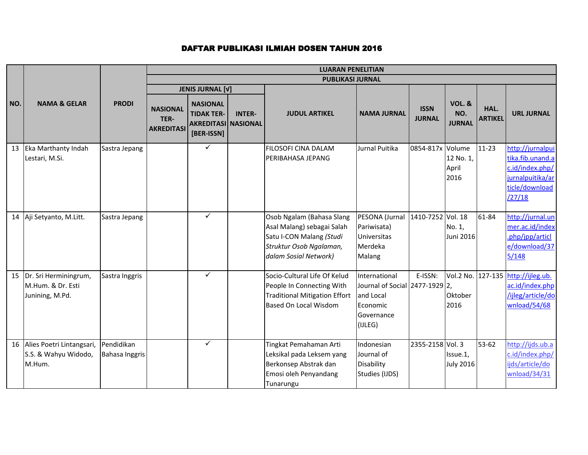|     |                                                                |                                     | <b>LUARAN PENELITIAN</b>                     |                                                               |               |                                                                                                                                         |                                                                                                   |                              |                              |                        |                                                                                                         |
|-----|----------------------------------------------------------------|-------------------------------------|----------------------------------------------|---------------------------------------------------------------|---------------|-----------------------------------------------------------------------------------------------------------------------------------------|---------------------------------------------------------------------------------------------------|------------------------------|------------------------------|------------------------|---------------------------------------------------------------------------------------------------------|
|     |                                                                |                                     |                                              |                                                               |               | <b>PUBLIKASI JURNAL</b>                                                                                                                 |                                                                                                   |                              |                              |                        |                                                                                                         |
| NO. | <b>NAMA &amp; GELAR</b>                                        | <b>PRODI</b>                        |                                              | <b>JENIS JURNAL [V]</b><br><b>NASIONAL</b>                    |               |                                                                                                                                         |                                                                                                   |                              | <b>VOL. &amp;</b>            |                        |                                                                                                         |
|     |                                                                |                                     | <b>NASIONAL</b><br>TER-<br><b>AKREDITASI</b> | <b>TIDAK TER-</b><br><b>AKREDITASI NASIONAL</b><br>[BER-ISSN] | <b>INTER-</b> | <b>JUDUL ARTIKEL</b>                                                                                                                    | <b>NAMA JURNAL</b>                                                                                | <b>ISSN</b><br><b>JURNAL</b> | NO.<br><b>JURNAL</b>         | HAL.<br><b>ARTIKEL</b> | <b>URL JURNAL</b>                                                                                       |
| 13  | Eka Marthanty Indah<br>Lestari, M.Si.                          | Sastra Jepang                       |                                              | $\checkmark$                                                  |               | FILOSOFI CINA DALAM<br>PERIBAHASA JEPANG                                                                                                | <b>Jurnal Puitika</b>                                                                             | 0854-817x Volume             | 12 No. 1,<br>April<br>2016   | $11 - 23$              | http://jurnalpui<br>tika.fib.unand.a<br>c.id/index.php/<br>jurnalpuitika/ar<br>ticle/download<br>/27/18 |
|     | 14 Aji Setyanto, M.Litt.                                       | Sastra Jepang                       |                                              | $\checkmark$                                                  |               | Osob Ngalam (Bahasa Slang<br>Asal Malang) sebagai Salah<br>Satu I-CON Malang (Studi<br>Struktur Osob Ngalaman,<br>dalam Sosial Network) | PESONA (Jurnal<br>Pariwisata)<br>Universitas<br>Merdeka<br>Malang                                 | 1410-7252 Vol. 18            | No. 1,<br>Juni 2016          | 61-84                  | http://jurnal.un<br>mer.ac.id/index<br>.php/jpp/articl<br>e/download/37<br>5/148                        |
| 15  | Dr. Sri Herminingrum,<br>M.Hum. & Dr. Esti<br>Junining, M.Pd.  | Sastra Inggris                      |                                              | $\checkmark$                                                  |               | Socio-Cultural Life Of Kelud<br>People In Connecting With<br><b>Traditional Mitigation Effort</b><br><b>Based On Local Wisdom</b>       | International<br>Journal of Social 2477-1929 2,<br>and Local<br>Economic<br>Governance<br>(IJLEG) | E-ISSN:                      | Oktober<br>2016              |                        | Vol.2 No. 127-135 http://ijleg.ub.<br>ac.id/index.php<br>/ijleg/article/do<br>wnload/54/68              |
|     | 16 Alies Poetri Lintangsari,<br>S.S. & Wahyu Widodo,<br>M.Hum. | Pendidikan<br><b>Bahasa Inggris</b> |                                              | $\checkmark$                                                  |               | Tingkat Pemahaman Arti<br>Leksikal pada Leksem yang<br>Berkonsep Abstrak dan<br>Emosi oleh Penyandang<br>Tunarungu                      | Indonesian<br>Journal of<br>Disability<br>Studies (IJDS)                                          | 2355-2158 Vol. 3             | Issue.1,<br><b>July 2016</b> | 53-62                  | http://ijds.ub.a<br>c.id/index.php/<br>ijds/article/do<br>wnload/34/31                                  |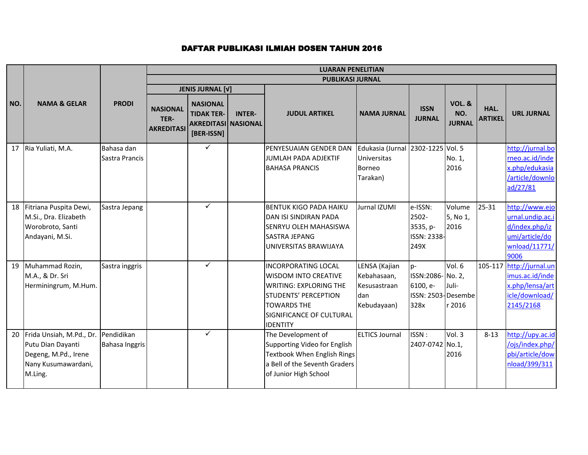|     |                                                                                                         |                              | <b>LUARAN PENELITIAN</b>                     |                                                                                  |               |                                                                                                                                                                                         |                                                                               |                                                                      |                                           |                        |                                                                                                 |
|-----|---------------------------------------------------------------------------------------------------------|------------------------------|----------------------------------------------|----------------------------------------------------------------------------------|---------------|-----------------------------------------------------------------------------------------------------------------------------------------------------------------------------------------|-------------------------------------------------------------------------------|----------------------------------------------------------------------|-------------------------------------------|------------------------|-------------------------------------------------------------------------------------------------|
|     |                                                                                                         |                              |                                              |                                                                                  |               | <b>PUBLIKASI JURNAL</b>                                                                                                                                                                 |                                                                               |                                                                      |                                           |                        |                                                                                                 |
|     |                                                                                                         |                              |                                              | <b>JENIS JURNAL [V]</b>                                                          |               |                                                                                                                                                                                         |                                                                               |                                                                      |                                           |                        |                                                                                                 |
| NO. | <b>NAMA &amp; GELAR</b>                                                                                 | <b>PRODI</b>                 | <b>NASIONAL</b><br>TER-<br><b>AKREDITASI</b> | <b>NASIONAL</b><br><b>TIDAK TER-</b><br><b>AKREDITASI NASIONAL</b><br>[BER-ISSN] | <b>INTER-</b> | <b>JUDUL ARTIKEL</b>                                                                                                                                                                    | <b>NAMA JURNAL</b>                                                            | <b>ISSN</b><br><b>JURNAL</b>                                         | <b>VOL. &amp;</b><br>NO.<br><b>JURNAL</b> | HAL.<br><b>ARTIKEL</b> | <b>URL JURNAL</b>                                                                               |
| 17  | Ria Yuliati, M.A.                                                                                       | Bahasa dan<br>Sastra Prancis |                                              | $\checkmark$                                                                     |               | PENYESUAIAN GENDER DAN<br>JUMLAH PADA ADJEKTIF<br><b>BAHASA PRANCIS</b>                                                                                                                 | Edukasia (Jurnal 2302-1225 Vol. 5<br><b>Universitas</b><br>Borneo<br>Tarakan) |                                                                      | No. 1,<br>2016                            |                        | http://jurnal.bo<br>rneo.ac.id/inde<br>x.php/edukasia<br>/article/downlo<br>ad/27/81            |
| 18  | Fitriana Puspita Dewi,<br>M.Si., Dra. Elizabeth<br>Worobroto, Santi<br>Andayani, M.Si.                  | Sastra Jepang                |                                              | $\checkmark$                                                                     |               | <b>BENTUK KIGO PADA HAIKU</b><br>DAN ISI SINDIRAN PADA<br><b>SENRYU OLEH MAHASISWA</b><br><b>SASTRA JEPANG</b><br>UNIVERSITAS BRAWIJAYA                                                 | Jurnal IZUMI                                                                  | e-ISSN:<br>2502-<br>3535, p-<br>ISSN: 2338-<br>249X                  | Volume<br>5, No 1,<br>2016                | $25 - 31$              | http://www.ejo<br>urnal.undip.ac.i<br>d/index.php/iz<br>umi/article/do<br>wnload/11771/<br>9006 |
| 19  | Muhammad Rozin,<br>M.A., & Dr. Sri<br>Herminingrum, M.Hum.                                              | Sastra inggris               |                                              | $\checkmark$                                                                     |               | <b>INCORPORATING LOCAL</b><br><b>WISDOM INTO CREATIVE</b><br><b>WRITING: EXPLORING THE</b><br>STUDENTS' PERCEPTION<br><b>TOWARDS THE</b><br>SIGNIFICANCE OF CULTURAL<br><b>IDENTITY</b> | LENSA (Kajian<br>Kebahasaan,<br>Kesusastraan<br>dan<br>Kebudayaan)            | $ p-$<br>ISSN:2086- No. 2,<br>6100, e-<br>ISSN: 2503-Desembe<br>328x | Vol. 6<br>Juli-<br>r 2016                 |                        | 105-117 http://jurnal.un<br>imus.ac.id/inde<br>x.php/lensa/art<br>icle/download/<br>2145/2168   |
| 20  | Frida Unsiah, M.Pd., Dr.<br>Putu Dian Dayanti<br>Degeng, M.Pd., Irene<br>Nany Kusumawardani,<br>M.Ling. | Pendidikan<br>Bahasa Inggris |                                              | $\checkmark$                                                                     |               | The Development of<br>Supporting Video for English<br>Textbook When English Rings<br>a Bell of the Seventh Graders<br>of Junior High School                                             | <b>ELTICS Journal</b>                                                         | ISSN:<br>2407-0742 No.1,                                             | Vol.3<br>2016                             | $8 - 13$               | http://upy.ac.id<br>/ojs/index.php/<br>pbi/article/dow<br>nload/399/311                         |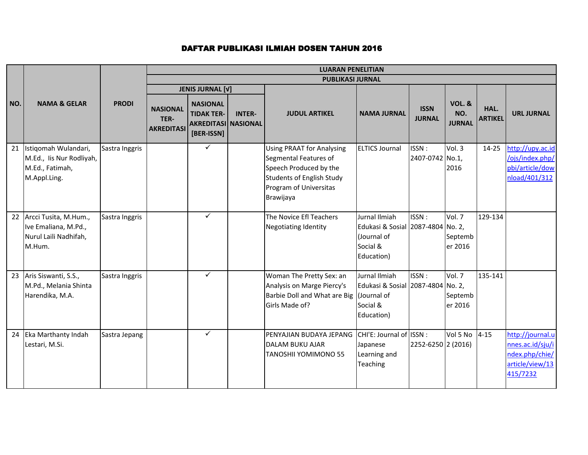|     |                                                                                     |                | <b>LUARAN PENELITIAN</b>  |                                                                 |               |                                                                                                                                                         |                                                                                             |                          |                              |                |                                                                                       |
|-----|-------------------------------------------------------------------------------------|----------------|---------------------------|-----------------------------------------------------------------|---------------|---------------------------------------------------------------------------------------------------------------------------------------------------------|---------------------------------------------------------------------------------------------|--------------------------|------------------------------|----------------|---------------------------------------------------------------------------------------|
|     |                                                                                     |                |                           |                                                                 |               | <b>PUBLIKASI JURNAL</b>                                                                                                                                 |                                                                                             |                          |                              |                |                                                                                       |
| NO. | <b>NAMA &amp; GELAR</b>                                                             | <b>PRODI</b>   | <b>NASIONAL</b>           | <b>JENIS JURNAL [V]</b><br><b>NASIONAL</b><br><b>TIDAK TER-</b> | <b>INTER-</b> | <b>JUDUL ARTIKEL</b>                                                                                                                                    | <b>NAMA JURNAL</b>                                                                          | <b>ISSN</b>              | <b>VOL. &amp;</b><br>NO.     | HAL.           | <b>URL JURNAL</b>                                                                     |
|     |                                                                                     |                | TER-<br><b>AKREDITASI</b> | <b>AKREDITASI NASIONAL</b><br>[BER-ISSN]                        |               |                                                                                                                                                         |                                                                                             | <b>JURNAL</b>            | <b>JURNAL</b>                | <b>ARTIKEL</b> |                                                                                       |
| 21  | Istigomah Wulandari,<br>M.Ed., Iis Nur Rodliyah,<br>M.Ed., Fatimah,<br>M.Appl.Ling. | Sastra Inggris |                           | ✓                                                               |               | <b>Using PRAAT for Analysing</b><br>Segmental Features of<br>Speech Produced by the<br>Students of English Study<br>Program of Universitas<br>Brawijaya | <b>ELTICS Journal</b>                                                                       | ISSN:<br>2407-0742 No.1, | Vol.3<br>2016                | $14 - 25$      | http://upy.ac.id<br>/ojs/index.php/<br>pbi/article/dow<br>nload/401/312               |
| 22  | Arcci Tusita, M.Hum.,<br>Ive Emaliana, M.Pd.,<br>Nurul Laili Nadhifah,<br>M.Hum.    | Sastra Inggris |                           | ✓                                                               |               | The Novice Efl Teachers<br><b>Negotiating Identity</b>                                                                                                  | Jurnal Ilmiah<br>Edukasi & Sosial 2087-4804 No. 2,<br>(Journal of<br>Social &<br>Education) | ISSN:                    | Vol. 7<br>Septemb<br>er 2016 | 129-134        |                                                                                       |
|     | 23 Aris Siswanti, S.S.,<br>M.Pd., Melania Shinta<br>Harendika, M.A.                 | Sastra Inggris |                           | ✓                                                               |               | Woman The Pretty Sex: an<br>Analysis on Marge Piercy's<br>Barbie Doll and What are Big Uournal of<br>Girls Made of?                                     | Jurnal Ilmiah<br>Edukasi & Sosial 2087-4804 No. 2,<br>Social &<br>Education)                | ISSN:                    | Vol. 7<br>Septemb<br>er 2016 | 135-141        |                                                                                       |
| 24  | Eka Marthanty Indah<br>Lestari, M.Si.                                               | Sastra Jepang  |                           | $\checkmark$                                                    |               | PENYAJIAN BUDAYA JEPANG<br><b>DALAM BUKU AJAR</b><br><b>TANOSHII YOMIMONO 55</b>                                                                        | CHI'E: Journal of ISSN:<br>Japanese<br>Learning and<br><b>Teaching</b>                      | 2252-6250 2 (2016)       | Vol 5 No                     | $4 - 15$       | http://journal.u<br>nnes.ac.id/sju/i<br>ndex.php/chie/<br>article/view/13<br>415/7232 |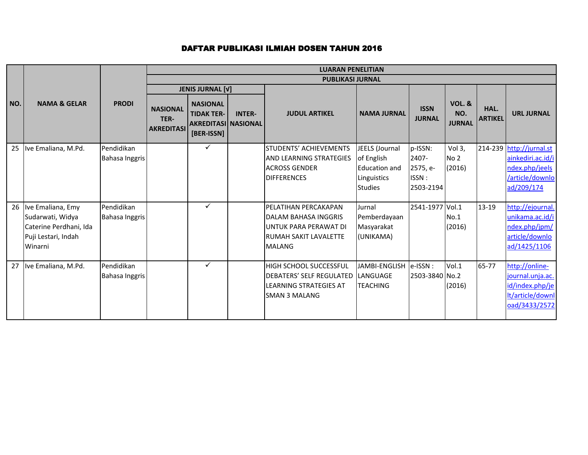|     |                                                                                                   |                                     |                                              | <b>LUARAN PENELITIAN</b>                                                         |               |                                                                                                                               |                                                                                       |                                                    |                                           |                        |                                                                                                  |  |  |  |
|-----|---------------------------------------------------------------------------------------------------|-------------------------------------|----------------------------------------------|----------------------------------------------------------------------------------|---------------|-------------------------------------------------------------------------------------------------------------------------------|---------------------------------------------------------------------------------------|----------------------------------------------------|-------------------------------------------|------------------------|--------------------------------------------------------------------------------------------------|--|--|--|
|     |                                                                                                   |                                     |                                              |                                                                                  |               | <b>PUBLIKASI JURNAL</b>                                                                                                       |                                                                                       |                                                    |                                           |                        |                                                                                                  |  |  |  |
|     |                                                                                                   |                                     |                                              | <b>JENIS JURNAL [V]</b>                                                          |               |                                                                                                                               |                                                                                       |                                                    |                                           |                        |                                                                                                  |  |  |  |
| NO. | <b>NAMA &amp; GELAR</b>                                                                           | <b>PRODI</b>                        | <b>NASIONAL</b><br>TER-<br><b>AKREDITASI</b> | <b>NASIONAL</b><br><b>TIDAK TER-</b><br><b>AKREDITASI NASIONAL</b><br>[BER-ISSN] | <b>INTER-</b> | <b>JUDUL ARTIKEL</b>                                                                                                          | <b>NAMA JURNAL</b>                                                                    | <b>ISSN</b><br><b>JURNAL</b>                       | <b>VOL. &amp;</b><br>NO.<br><b>JURNAL</b> | HAL.<br><b>ARTIKEL</b> | <b>URL JURNAL</b>                                                                                |  |  |  |
| 25  | Ive Emaliana, M.Pd.                                                                               | Pendidikan<br>Bahasa Inggris        |                                              | ✓                                                                                |               | <b>STUDENTS' ACHIEVEMENTS</b><br><b>AND LEARNING STRATEGIES</b><br><b>ACROSS GENDER</b><br><b>DIFFERENCES</b>                 | JEELS (Journal<br>of English<br><b>Education and</b><br>Linguistics<br><b>Studies</b> | p-ISSN:<br>2407-<br>2575, e-<br>ISSN:<br>2503-2194 | Vol 3,<br>No <sub>2</sub><br>(2016)       |                        | 214-239 http://jurnal.st<br>ainkediri.ac.id/i<br>ndex.php/jeels<br>/article/downlo<br>ad/209/174 |  |  |  |
| 26  | Ive Emaliana, Emy<br>Sudarwati, Widya<br>Caterine Perdhani, Ida<br>Puji Lestari, Indah<br>Winarni | Pendidikan<br>Bahasa Inggris        |                                              | ✓                                                                                |               | PELATIHAN PERCAKAPAN<br><b>DALAM BAHASA INGGRIS</b><br>UNTUK PARA PERAWAT DI<br><b>RUMAH SAKIT LAVALETTE</b><br><b>MALANG</b> | Jurnal<br>Pemberdayaan<br>Masyarakat<br>(UNIKAMA)                                     | 2541-1977 Vol.1                                    | No.1<br>(2016)                            | 13-19                  | http://ejournal.<br>unikama.ac.id/i<br>ndex.php/jpm/<br>article/downlo<br>ad/1425/1106           |  |  |  |
| 27  | Ive Emaliana, M.Pd.                                                                               | Pendidikan<br><b>Bahasa Inggris</b> |                                              | $\checkmark$                                                                     |               | <b>HIGH SCHOOL SUCCESSFUL</b><br><b>DEBATERS' SELF REGULATED</b><br>LEARNING STRATEGIES AT<br><b>SMAN 3 MALANG</b>            | <b>JAMBI-ENGLISH</b><br>LANGUAGE<br><b>TEACHING</b>                                   | $e$ -ISSN:<br>2503-3840 No.2                       | Vol.1<br>(2016)                           | 65-77                  | http://online-<br>journal.unja.ac.<br>id/index.php/je<br>It/article/downl<br>oad/3433/2572       |  |  |  |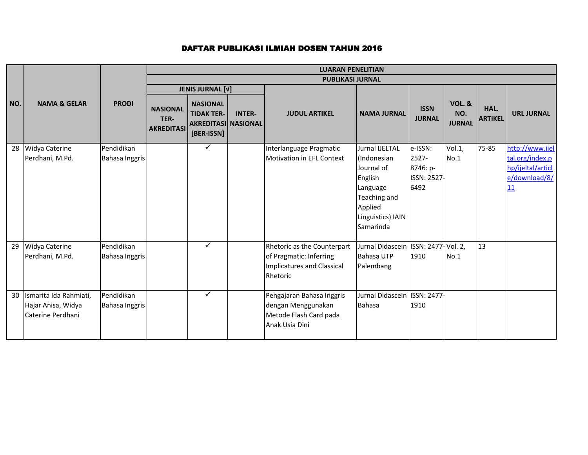|     |                                                                   |                                     | <b>LUARAN PENELITIAN</b>                     |                                                                                  |               |                                                                                                  |                                                                                                                                        |                                                     |                                           |                        |                                                                                |  |  |
|-----|-------------------------------------------------------------------|-------------------------------------|----------------------------------------------|----------------------------------------------------------------------------------|---------------|--------------------------------------------------------------------------------------------------|----------------------------------------------------------------------------------------------------------------------------------------|-----------------------------------------------------|-------------------------------------------|------------------------|--------------------------------------------------------------------------------|--|--|
|     |                                                                   |                                     |                                              |                                                                                  |               | <b>PUBLIKASI JURNAL</b>                                                                          |                                                                                                                                        |                                                     |                                           |                        |                                                                                |  |  |
|     |                                                                   |                                     |                                              | <b>JENIS JURNAL [V]</b>                                                          |               |                                                                                                  |                                                                                                                                        |                                                     |                                           |                        |                                                                                |  |  |
| NO. | <b>NAMA &amp; GELAR</b>                                           | <b>PRODI</b>                        | <b>NASIONAL</b><br>TER-<br><b>AKREDITASI</b> | <b>NASIONAL</b><br><b>TIDAK TER-</b><br><b>AKREDITASI NASIONAL</b><br>[BER-ISSN] | <b>INTER-</b> | <b>JUDUL ARTIKEL</b>                                                                             | <b>NAMA JURNAL</b>                                                                                                                     | <b>ISSN</b><br><b>JURNAL</b>                        | <b>VOL. &amp;</b><br>NO.<br><b>JURNAL</b> | HAL.<br><b>ARTIKEL</b> | <b>URL JURNAL</b>                                                              |  |  |
| 28  | Widya Caterine<br>Perdhani, M.Pd.                                 | Pendidikan<br><b>Bahasa Inggris</b> |                                              | $\checkmark$                                                                     |               | Interlanguage Pragmatic<br>Motivation in EFL Context                                             | <b>Jurnal IJELTAL</b><br>(Indonesian<br>Journal of<br>English<br>Language<br>Teaching and<br>Applied<br>Linguistics) IAIN<br>Samarinda | e-ISSN:<br>2527-<br>8746: p-<br>ISSN: 2527-<br>6492 | Vol.1,<br>No.1                            | 75-85                  | http://www.ijel<br>tal.org/index.p<br>hp/ijeltal/articl<br>e/download/8/<br>11 |  |  |
| 29  | Widya Caterine<br>Perdhani, M.Pd.                                 | Pendidikan<br><b>Bahasa Inggris</b> |                                              | $\checkmark$                                                                     |               | Rhetoric as the Counterpart<br>of Pragmatic: Inferring<br>Implicatures and Classical<br>Rhetoric | Jurnal Didascein ISSN: 2477-Vol. 2,<br><b>Bahasa UTP</b><br>Palembang                                                                  | 1910                                                | No.1                                      | 13                     |                                                                                |  |  |
| 30  | Ismarita Ida Rahmiati,<br>Hajar Anisa, Widya<br>Caterine Perdhani | Pendidikan<br><b>Bahasa Inggris</b> |                                              | $\checkmark$                                                                     |               | Pengajaran Bahasa Inggris<br>dengan Menggunakan<br>Metode Flash Card pada<br>Anak Usia Dini      | Jurnal Didascein ISSN: 2477-<br><b>Bahasa</b>                                                                                          | 1910                                                |                                           |                        |                                                                                |  |  |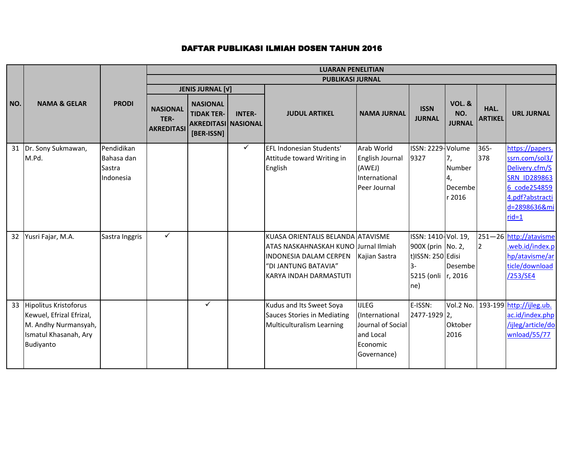|     |                              |                | <b>LUARAN PENELITIAN</b>                     |                                                                                  |               |                                      |                    |                              |                                           |                        |                                    |
|-----|------------------------------|----------------|----------------------------------------------|----------------------------------------------------------------------------------|---------------|--------------------------------------|--------------------|------------------------------|-------------------------------------------|------------------------|------------------------------------|
|     |                              |                |                                              |                                                                                  |               | <b>PUBLIKASI JURNAL</b>              |                    |                              |                                           |                        |                                    |
|     |                              |                |                                              | <b>JENIS JURNAL [V]</b>                                                          |               |                                      |                    |                              |                                           |                        |                                    |
| NO. | <b>NAMA &amp; GELAR</b>      | <b>PRODI</b>   | <b>NASIONAL</b><br>TER-<br><b>AKREDITASI</b> | <b>NASIONAL</b><br><b>TIDAK TER-</b><br><b>AKREDITASI NASIONAL</b><br>[BER-ISSN] | <b>INTER-</b> | <b>JUDUL ARTIKEL</b>                 | <b>NAMA JURNAL</b> | <b>ISSN</b><br><b>JURNAL</b> | <b>VOL. &amp;</b><br>NO.<br><b>JURNAL</b> | HAL.<br><b>ARTIKEL</b> | <b>URL JURNAL</b>                  |
| 31  | Dr. Sony Sukmawan,           | Pendidikan     |                                              |                                                                                  | $\checkmark$  | EFL Indonesian Students'             | Arab World         | ISSN: 2229-Volume            |                                           | $365 -$                | https://papers.                    |
|     | M.Pd.                        | Bahasa dan     |                                              |                                                                                  |               | Attitude toward Writing in           | English Journal    | 9327                         | 7,                                        | 378                    | ssrn.com/sol3/                     |
|     |                              | Sastra         |                                              |                                                                                  |               | English                              | (AWEJ)             |                              | Number                                    |                        | Delivery.cfm/S                     |
|     |                              | Indonesia      |                                              |                                                                                  |               |                                      | International      |                              | Ι4,                                       |                        | <b>SRN ID289863</b>                |
|     |                              |                |                                              |                                                                                  |               |                                      | Peer Journal       |                              | Decembe                                   |                        | 6 code254859                       |
|     |                              |                |                                              |                                                                                  |               |                                      |                    |                              | r 2016                                    |                        | 4.pdf?abstracti                    |
|     |                              |                |                                              |                                                                                  |               |                                      |                    |                              |                                           |                        | d=2898636&mi                       |
|     |                              |                |                                              |                                                                                  |               |                                      |                    |                              |                                           |                        | $rid=1$                            |
| 32  | Yusri Fajar, M.A.            | Sastra Inggris | $\checkmark$                                 |                                                                                  |               | KUASA ORIENTALIS BELANDA ATAVISME    |                    | ISSN: 1410-Vol. 19,          |                                           |                        | 251-26 http://atavisme             |
|     |                              |                |                                              |                                                                                  |               | ATAS NASKAHNASKAH KUNO Jurnal Ilmiah |                    | 900X (prin No. 2,            |                                           | $\overline{2}$         | web.id/index.p                     |
|     |                              |                |                                              |                                                                                  |               | <b>INDONESIA DALAM CERPEN</b>        | Kajian Sastra      | t)ISSN: 250 Edisi            |                                           |                        | hp/atavisme/ar                     |
|     |                              |                |                                              |                                                                                  |               | "DI JANTUNG BATAVIA"                 |                    | $3-$                         | Desembe                                   |                        | ticle/download                     |
|     |                              |                |                                              |                                                                                  |               | KARYA INDAH DARMASTUTI               |                    | 5215 (onli   r, 2016         |                                           |                        | /253/SE4                           |
|     |                              |                |                                              |                                                                                  |               |                                      |                    | $ ne\rangle$                 |                                           |                        |                                    |
| 33  | <b>Hipolitus Kristoforus</b> |                |                                              | $\checkmark$                                                                     |               | Kudus and Its Sweet Soya             | <b>IJLEG</b>       | E-ISSN:                      |                                           |                        | Vol.2 No. 193-199 http://ijleg.ub. |
|     | Kewuel, Efrizal Efrizal,     |                |                                              |                                                                                  |               | Sauces Stories in Mediating          | (International     | 2477-1929 2,                 |                                           |                        | ac.id/index.php                    |
|     | M. Andhy Nurmansyah,         |                |                                              |                                                                                  |               | Multiculturalism Learning            | Journal of Social  |                              | Oktober                                   |                        | /ijleg/article/do                  |
|     | Ismatul Khasanah, Ary        |                |                                              |                                                                                  |               |                                      | and Local          |                              | 2016                                      |                        | wnload/55/77                       |
|     | Budiyanto                    |                |                                              |                                                                                  |               |                                      | Economic           |                              |                                           |                        |                                    |
|     |                              |                |                                              |                                                                                  |               |                                      | Governance)        |                              |                                           |                        |                                    |
|     |                              |                |                                              |                                                                                  |               |                                      |                    |                              |                                           |                        |                                    |